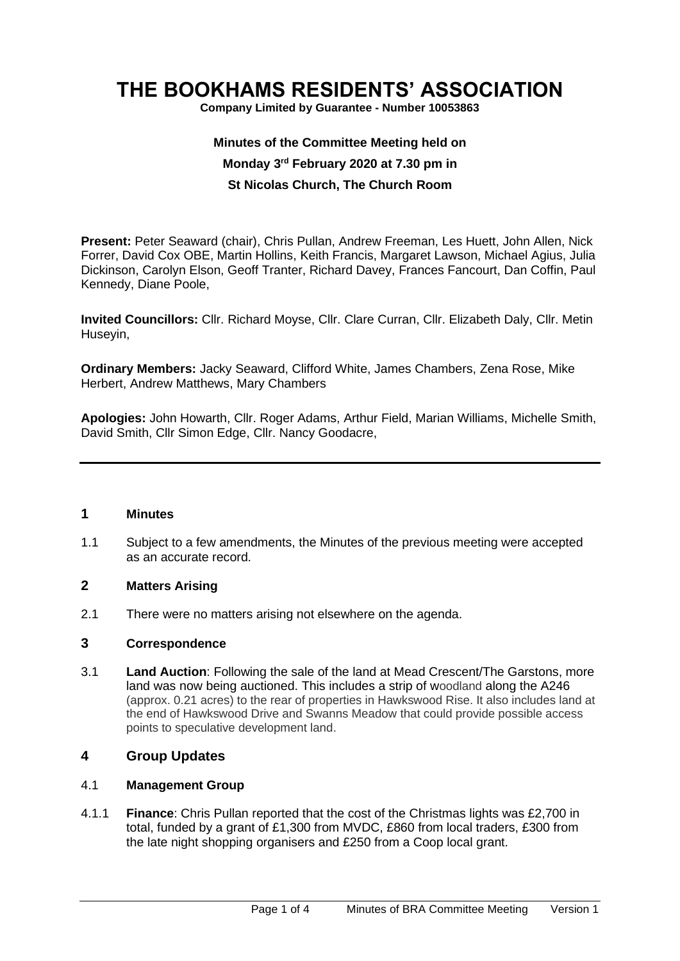# **THE BOOKHAMS RESIDENTS' ASSOCIATION**

**Company Limited by Guarantee - Number 10053863**

# **Minutes of the Committee Meeting held on Monday 3 rd February 2020 at 7.30 pm in St Nicolas Church, The Church Room**

**Present:** Peter Seaward (chair), Chris Pullan, Andrew Freeman, Les Huett, John Allen, Nick Forrer, David Cox OBE, Martin Hollins, Keith Francis, Margaret Lawson, Michael Agius, Julia Dickinson, Carolyn Elson, Geoff Tranter, Richard Davey, Frances Fancourt, Dan Coffin, Paul Kennedy, Diane Poole,

**Invited Councillors:** Cllr. Richard Moyse, Cllr. Clare Curran, Cllr. Elizabeth Daly, Cllr. Metin Huseyin,

**Ordinary Members:** Jacky Seaward, Clifford White, James Chambers, Zena Rose, Mike Herbert, Andrew Matthews, Mary Chambers

**Apologies:** John Howarth, Cllr. Roger Adams, Arthur Field, Marian Williams, Michelle Smith, David Smith, Cllr Simon Edge, Cllr. Nancy Goodacre,

#### **1 Minutes**

1.1 Subject to a few amendments, the Minutes of the previous meeting were accepted as an accurate record.

#### **2 Matters Arising**

2.1 There were no matters arising not elsewhere on the agenda.

#### **3 Correspondence**

3.1 **Land Auction**: Following the sale of the land at Mead Crescent/The Garstons, more land was now being auctioned. This includes a strip of woodland along the A246 (approx. 0.21 acres) to the rear of properties in Hawkswood Rise. It also includes land at the end of Hawkswood Drive and Swanns Meadow that could provide possible access points to speculative development land.

#### **4 Group Updates**

#### 4.1 **Management Group**

4.1.1 **Finance**: Chris Pullan reported that the cost of the Christmas lights was £2,700 in total, funded by a grant of £1,300 from MVDC, £860 from local traders, £300 from the late night shopping organisers and £250 from a Coop local grant.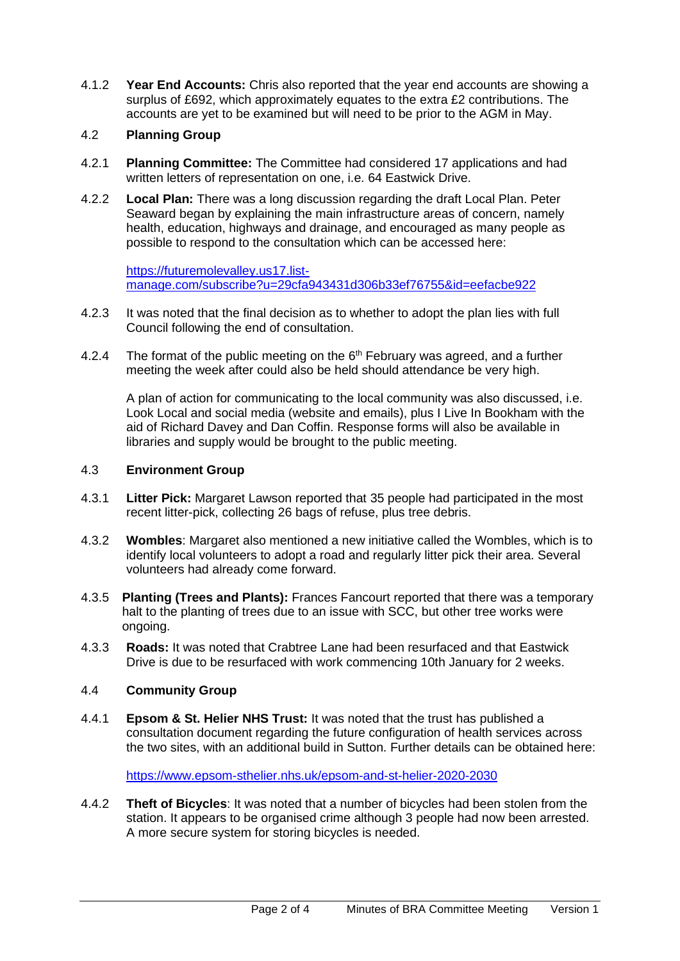4.1.2 **Year End Accounts:** Chris also reported that the year end accounts are showing a surplus of £692, which approximately equates to the extra £2 contributions. The accounts are yet to be examined but will need to be prior to the AGM in May.

### 4.2 **Planning Group**

- 4.2.1 **Planning Committee:** The Committee had considered 17 applications and had written letters of representation on one, i.e. 64 Eastwick Drive.
- 4.2.2 **Local Plan:** There was a long discussion regarding the draft Local Plan. Peter Seaward began by explaining the main infrastructure areas of concern, namely health, education, highways and drainage, and encouraged as many people as possible to respond to the consultation which can be accessed here:

[https://futuremolevalley.us17.list](https://futuremolevalley.us17.list-manage.com/subscribe?u=29cfa943431d306b33ef76755&id=eefacbe922)[manage.com/subscribe?u=29cfa943431d306b33ef76755&id=eefacbe922](https://futuremolevalley.us17.list-manage.com/subscribe?u=29cfa943431d306b33ef76755&id=eefacbe922)

- 4.2.3 It was noted that the final decision as to whether to adopt the plan lies with full Council following the end of consultation.
- 4.2.4 The format of the public meeting on the  $6<sup>th</sup>$  February was agreed, and a further meeting the week after could also be held should attendance be very high.

A plan of action for communicating to the local community was also discussed, i.e. Look Local and social media (website and emails), plus I Live In Bookham with the aid of Richard Davey and Dan Coffin. Response forms will also be available in libraries and supply would be brought to the public meeting.

#### 4.3 **Environment Group**

- 4.3.1 **Litter Pick:** Margaret Lawson reported that 35 people had participated in the most recent litter-pick, collecting 26 bags of refuse, plus tree debris.
- 4.3.2 **Wombles**: Margaret also mentioned a new initiative called the Wombles, which is to identify local volunteers to adopt a road and regularly litter pick their area. Several volunteers had already come forward.
- 4.3.5 **Planting (Trees and Plants):** Frances Fancourt reported that there was a temporary halt to the planting of trees due to an issue with SCC, but other tree works were ongoing.
- 4.3.3 **Roads:** It was noted that Crabtree Lane had been resurfaced and that Eastwick Drive is due to be resurfaced with work commencing 10th January for 2 weeks.

#### 4.4 **Community Group**

4.4.1 **Epsom & St. Helier NHS Trust:** It was noted that the trust has published a consultation document regarding the future configuration of health services across the two sites, with an additional build in Sutton. Further details can be obtained here:

<https://www.epsom-sthelier.nhs.uk/epsom-and-st-helier-2020-2030>

4.4.2 **Theft of Bicycles**: It was noted that a number of bicycles had been stolen from the station. It appears to be organised crime although 3 people had now been arrested. A more secure system for storing bicycles is needed.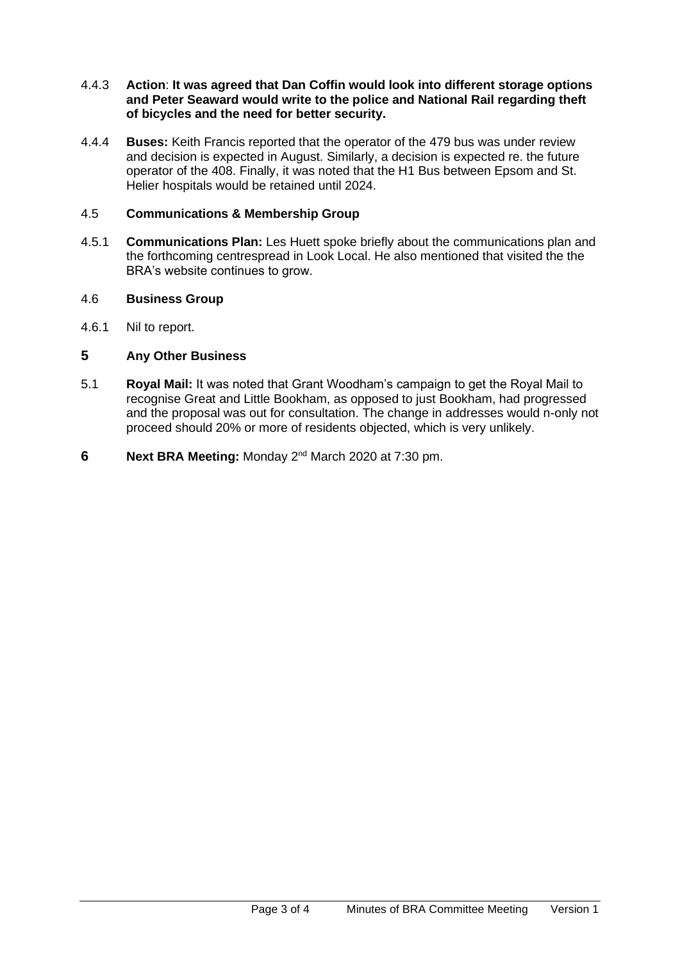#### 4.4.3 **Action**: **It was agreed that Dan Coffin would look into different storage options and Peter Seaward would write to the police and National Rail regarding theft of bicycles and the need for better security.**

4.4.4 **Buses:** Keith Francis reported that the operator of the 479 bus was under review and decision is expected in August. Similarly, a decision is expected re. the future operator of the 408. Finally, it was noted that the H1 Bus between Epsom and St. Helier hospitals would be retained until 2024.

# 4.5 **Communications & Membership Group**

4.5.1 **Communications Plan:** Les Huett spoke briefly about the communications plan and the forthcoming centrespread in Look Local. He also mentioned that visited the the BRA's website continues to grow.

## 4.6 **Business Group**

4.6.1 Nil to report.

## **5 Any Other Business**

- 5.1 **Royal Mail:** It was noted that Grant Woodham's campaign to get the Royal Mail to recognise Great and Little Bookham, as opposed to just Bookham, had progressed and the proposal was out for consultation. The change in addresses would n-only not proceed should 20% or more of residents objected, which is very unlikely.
- **6** Next BRA Meeting: Monday 2<sup>nd</sup> March 2020 at 7:30 pm.